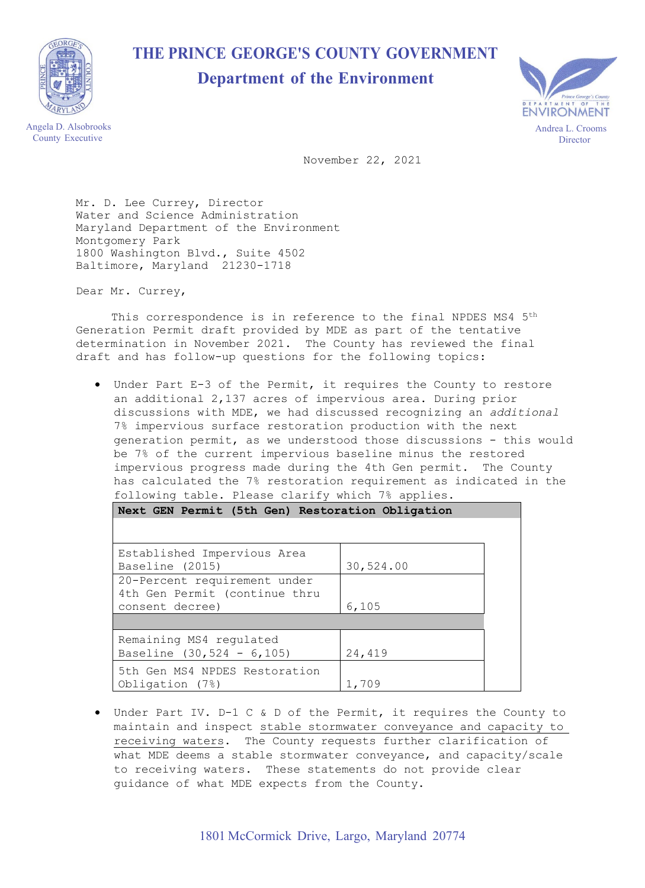

## **THE PRINCE GEORGE'S COUNTY GOVERNMENT**

## **Department of the Environment**



Angela D. Alsobrooks County Executive

November 22, 2021

Mr. D. Lee Currey, Director Water and Science Administration Maryland Department of the Environment Montgomery Park 1800 Washington Blvd., Suite 4502 Baltimore, Maryland 21230-1718

Dear Mr. Currey,

This correspondence is in reference to the final NPDES MS4 5<sup>th</sup> Generation Permit draft provided by MDE as part of the tentative determination in November 2021. The County has reviewed the final draft and has follow-up questions for the following topics:

• Under Part E-3 of the Permit, it requires the County to restore an additional 2,137 acres of impervious area. During prior discussions with MDE, we had discussed recognizing an *additional* 7% impervious surface restoration production with the next generation permit, as we understood those discussions - this would be 7% of the current impervious baseline minus the restored impervious progress made during the 4th Gen permit. The County has calculated the 7% restoration requirement as indicated in the following table. Please clarify which 7% applies.

| Next GEN Permit (5th Gen) Restoration Obligation                                 |           |  |
|----------------------------------------------------------------------------------|-----------|--|
|                                                                                  |           |  |
| Established Impervious Area<br>Baseline (2015)                                   | 30,524.00 |  |
| 20-Percent requirement under<br>4th Gen Permit (continue thru<br>consent decree) | 6,105     |  |
|                                                                                  |           |  |
| Remaining MS4 regulated<br>Baseline $(30, 524 - 6, 105)$                         | 24,419    |  |
| 5th Gen MS4 NPDES Restoration<br>Obligation (7%)                                 | 1,709     |  |

• Under Part IV. D-1 C & D of the Permit, it requires the County to maintain and inspect stable stormwater conveyance and capacity to receiving waters. The County requests further clarification of what MDE deems a stable stormwater conveyance, and capacity/scale to receiving waters. These statements do not provide clear guidance of what MDE expects from the County.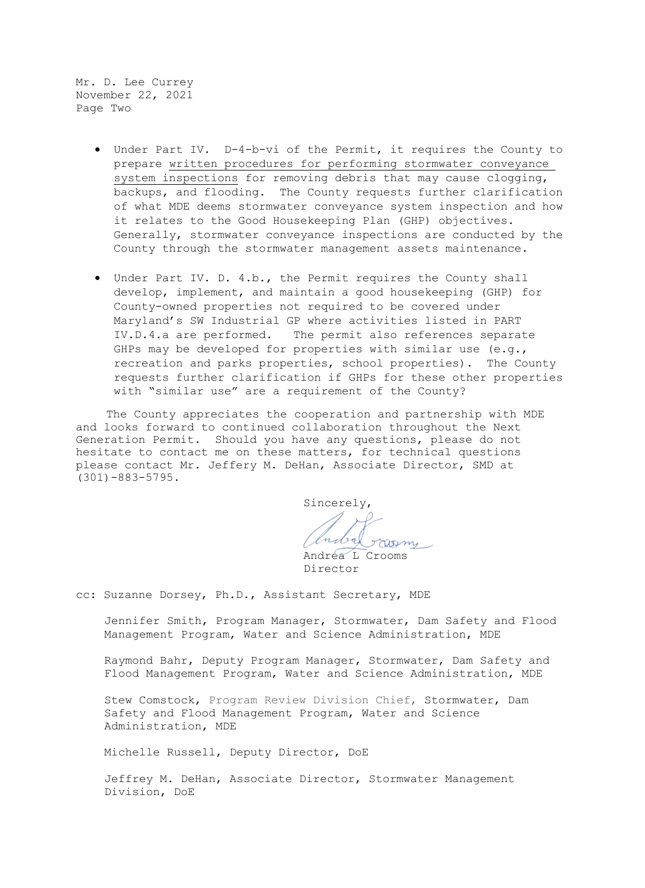Mr. D. Lee Currey November 22, 2021 Page Two

- Under Part IV. D-4-b-vi of the Permit, it requires the County to prepare written procedures for performing stormwater conveyance system inspections for removing debris that may cause clogging, backups, and flooding. The County requests further clarification of what MDE deems stormwater conveyance system inspection and how it relates to the Good Housekeeping Plan (GHP) objectives. Generally, stormwater conveyance inspections are conducted by the County through the stormwater management assets maintenance.
- Under Part IV. D. 4.b., the Permit requires the County shall develop, implement, and maintain a good housekeeping (GHP) for County-owned properties not required to be covered under Maryland's SW Industrial GP where activities listed in PART IV.D.4.a are performed. The permit also references separate GHPs may be developed for properties with similar use (e.g., recreation and parks properties, school properties). The County requests further clarification if GHPs for these other properties with "similar use" are a requirement of the County?

 The County appreciates the cooperation and partnership with MDE and looks forward to continued collaboration throughout the Next Generation Permit. Should you have any questions, please do not hesitate to contact me on these matters, for technical questions please contact Mr. Jeffery M. DeHan, Associate Director, SMD at (301)-883-5795.

Sincerely, nabel aara Andrea L Crooms

Director

cc: Suzanne Dorsey, Ph.D., Assistant Secretary, MDE

Jennifer Smith, Program Manager, Stormwater, Dam Safety and Flood Management Program, Water and Science Administration, MDE

Raymond Bahr, Deputy Program Manager, Stormwater, Dam Safety and Flood Management Program, Water and Science Administration, MDE

Stew Comstock, Program Review Division Chief, Stormwater, Dam Safety and Flood Management Program, Water and Science Administration, MDE

Michelle Russell, Deputy Director, DoE

Jeffrey M. DeHan, Associate Director, Stormwater Management Division, DoE